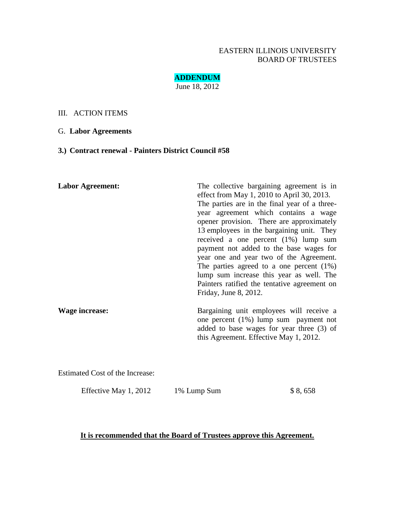### EASTERN ILLINOIS UNIVERSITY BOARD OF TRUSTEES

**ADDENDUM** June 18, 2012

#### III. ACTION ITEMS

#### G. **Labor Agreements**

# **3.) Contract renewal - Painters District Council #58**

| <b>Labor Agreement:</b> | The collective bargaining agreement is in<br>effect from May 1, 2010 to April 30, 2013.<br>The parties are in the final year of a three-<br>year agreement which contains a wage<br>opener provision. There are approximately<br>13 employees in the bargaining unit. They<br>received a one percent $(1%)$ lump sum<br>payment not added to the base wages for<br>year one and year two of the Agreement.<br>The parties agreed to a one percent $(1\%)$<br>lump sum increase this year as well. The<br>Painters ratified the tentative agreement on<br>Friday, June 8, 2012. |  |
|-------------------------|--------------------------------------------------------------------------------------------------------------------------------------------------------------------------------------------------------------------------------------------------------------------------------------------------------------------------------------------------------------------------------------------------------------------------------------------------------------------------------------------------------------------------------------------------------------------------------|--|
| Wage increase:          | Bargaining unit employees will receive a<br>one percent $(1\%)$ lump sum payment not<br>added to base wages for year three (3) of<br>this Agreement. Effective May 1, 2012.                                                                                                                                                                                                                                                                                                                                                                                                    |  |

Estimated Cost of the Increase:

Effective May 1, 2012 1% Lump Sum \$ 8, 658

## **It is recommended that the Board of Trustees approve this Agreement.**